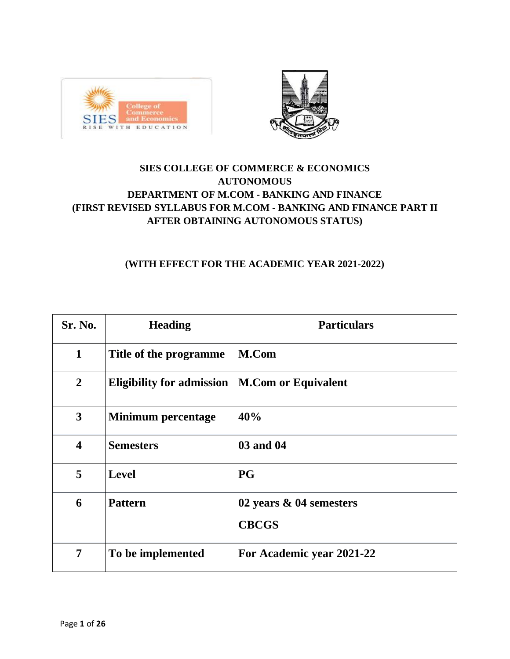



# **SIES COLLEGE OF COMMERCE & ECONOMICS AUTONOMOUS DEPARTMENT OF M.COM - BANKING AND FINANCE (FIRST REVISED SYLLABUS FOR M.COM - BANKING AND FINANCE PART II AFTER OBTAINING AUTONOMOUS STATUS)**

# **(WITH EFFECT FOR THE ACADEMIC YEAR 2021-2022)**

| <b>Sr. No.</b>          | <b>Heading</b>                   | <b>Particulars</b>         |
|-------------------------|----------------------------------|----------------------------|
| $\mathbf{1}$            | Title of the programme           | M.Com                      |
| $\overline{2}$          | <b>Eligibility for admission</b> | <b>M.Com or Equivalent</b> |
| 3                       | Minimum percentage               | 40%                        |
| $\overline{\mathbf{4}}$ | <b>Semesters</b>                 | 03 and 04                  |
| 5                       | <b>Level</b>                     | <b>PG</b>                  |
| 6                       | <b>Pattern</b>                   | 02 years & 04 semesters    |
|                         |                                  | <b>CBCGS</b>               |
| $\overline{7}$          | To be implemented                | For Academic year 2021-22  |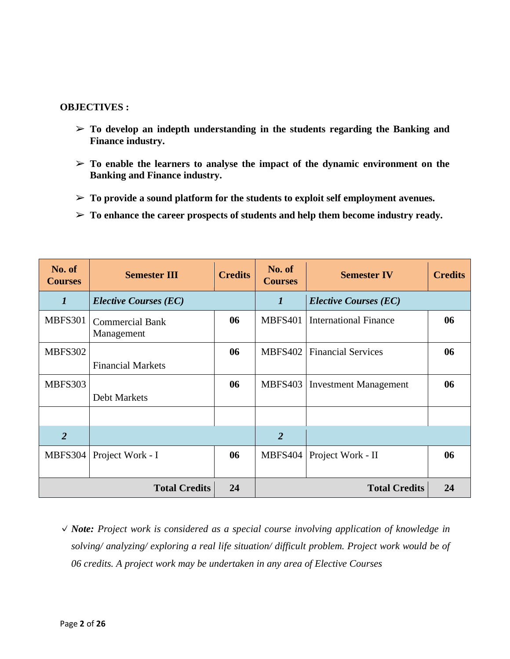#### **OBJECTIVES :**

- ➢ **To develop an indepth understanding in the students regarding the Banking and Finance industry.**
- ➢ **To enable the learners to analyse the impact of the dynamic environment on the Banking and Finance industry.**
- ➢ **To provide a sound platform for the students to exploit self employment avenues.**
- ➢ **To enhance the career prospects of students and help them become industry ready.**

| No. of<br><b>Courses</b> | <b>Semester III</b>                  | <b>Credits</b> | No. of<br><b>Courses</b> | <b>Semester IV</b>           | <b>Credits</b> |
|--------------------------|--------------------------------------|----------------|--------------------------|------------------------------|----------------|
| $\boldsymbol{l}$         | <i>Elective Courses (EC)</i>         |                | $\bm{l}$                 | <b>Elective Courses (EC)</b> |                |
| <b>MBFS301</b>           | <b>Commercial Bank</b><br>Management | 06             | <b>MBFS401</b>           | <b>International Finance</b> | 06             |
| <b>MBFS302</b>           |                                      | 06             | MBFS402                  | <b>Financial Services</b>    | 06             |
|                          | <b>Financial Markets</b>             |                |                          |                              |                |
| MBFS303                  |                                      | 06             | MBFS403                  | <b>Investment Management</b> | 06             |
|                          | <b>Debt Markets</b>                  |                |                          |                              |                |
|                          |                                      |                |                          |                              |                |
| $\overline{2}$           |                                      |                | $\overline{2}$           |                              |                |
| <b>MBFS304</b>           | Project Work - I                     | 06             | MBFS404                  | Project Work - II            | 06             |
| <b>Total Credits</b>     |                                      | 24             |                          | <b>Total Credits</b>         | 24             |

✓*Note: Project work is considered as a special course involving application of knowledge in solving/ analyzing/ exploring a real life situation/ difficult problem. Project work would be of 06 credits. A project work may be undertaken in any area of Elective Courses*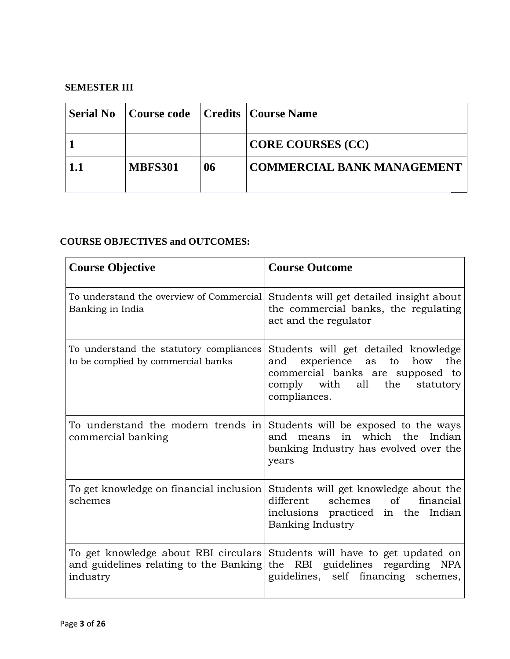### **SEMESTER III**

| <b>Serial No</b> | Course code   Credits   Course Name |    |                                   |
|------------------|-------------------------------------|----|-----------------------------------|
|                  |                                     |    | <b>CORE COURSES (CC)</b>          |
| 1.1              | <b>MBFS301</b>                      | 06 | <b>COMMERCIAL BANK MANAGEMENT</b> |

| <b>Course Objective</b>                                                                    | <b>Course Outcome</b>                                                                                                                                                          |
|--------------------------------------------------------------------------------------------|--------------------------------------------------------------------------------------------------------------------------------------------------------------------------------|
| To understand the overview of Commercial<br>Banking in India                               | Students will get detailed insight about<br>the commercial banks, the regulating<br>act and the regulator                                                                      |
| To understand the statutory compliances<br>to be complied by commercial banks              | Students will get detailed knowledge<br>experience as<br>to<br>how<br>the<br>and<br>commercial banks are supposed to<br>comply with<br>all<br>the<br>statutory<br>compliances. |
| To understand the modern trends in<br>commercial banking                                   | Students will be exposed to the ways<br>means in which the Indian<br>and<br>banking Industry has evolved over the<br>years                                                     |
| To get knowledge on financial inclusion<br>schemes                                         | Students will get knowledge about the<br>different schemes<br>of<br>financial<br>inclusions practiced in the Indian<br>Banking Industry                                        |
| To get knowledge about RBI circulars<br>and guidelines relating to the Banking<br>industry | Students will have to get updated on<br>the RBI guidelines regarding NPA<br>guidelines, self financing schemes,                                                                |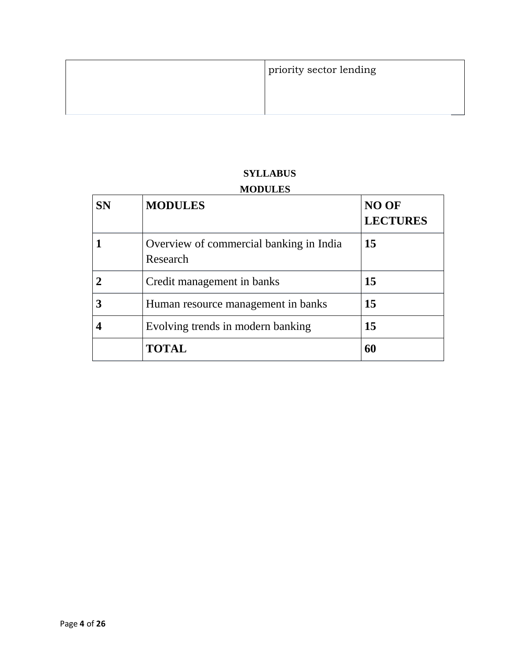| priority sector lending |
|-------------------------|
|                         |

# **SYLLABUS**

# **MODULES**

| <b>SN</b> | <b>MODULES</b>                                      | NO OF<br><b>LECTURES</b> |
|-----------|-----------------------------------------------------|--------------------------|
|           | Overview of commercial banking in India<br>Research | 15                       |
|           | Credit management in banks                          | 15                       |
|           | Human resource management in banks                  | 15                       |
|           | Evolving trends in modern banking                   | 15                       |
|           | <b>TOTAL</b>                                        | 60                       |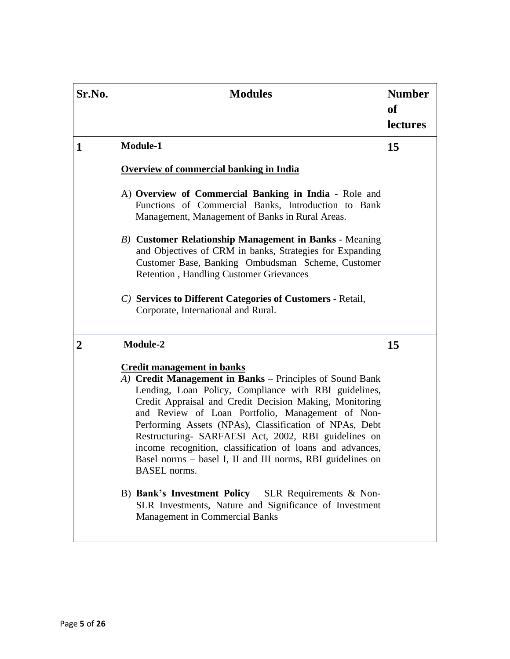| Sr.No. | <b>Modules</b>                                                                                                                                                                                                                                                                                                                                                                                                                                                                                                                                                                                                                                                                                                              | <b>Number</b><br>of<br><b>lectures</b> |
|--------|-----------------------------------------------------------------------------------------------------------------------------------------------------------------------------------------------------------------------------------------------------------------------------------------------------------------------------------------------------------------------------------------------------------------------------------------------------------------------------------------------------------------------------------------------------------------------------------------------------------------------------------------------------------------------------------------------------------------------------|----------------------------------------|
| 1      | <b>Module-1</b><br><b>Overview of commercial banking in India</b><br>A) Overview of Commercial Banking in India - Role and<br>Functions of Commercial Banks, Introduction to Bank<br>Management, Management of Banks in Rural Areas.<br><b>B)</b> Customer Relationship Management in Banks - Meaning<br>and Objectives of CRM in banks, Strategies for Expanding<br>Customer Base, Banking Ombudsman Scheme, Customer<br><b>Retention</b> , Handling Customer Grievances<br>C) Services to Different Categories of Customers - Retail,<br>Corporate, International and Rural.                                                                                                                                              | 15                                     |
| 2      | <b>Module-2</b><br><b>Credit management in banks</b><br>A) Credit Management in Banks – Principles of Sound Bank<br>Lending, Loan Policy, Compliance with RBI guidelines,<br>Credit Appraisal and Credit Decision Making, Monitoring<br>and Review of Loan Portfolio, Management of Non-<br>Performing Assets (NPAs), Classification of NPAs, Debt<br>Restructuring- SARFAESI Act, 2002, RBI guidelines on<br>income recognition, classification of loans and advances,<br>Basel norms – basel I, II and III norms, RBI guidelines on<br><b>BASEL</b> norms.<br>B) Bank's Investment Policy - SLR Requirements $\&$ Non-<br>SLR Investments, Nature and Significance of Investment<br><b>Management in Commercial Banks</b> | 15                                     |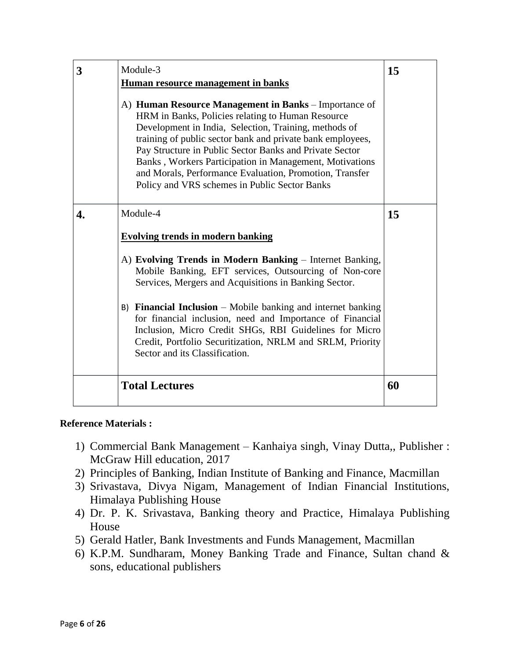| 3  | Module-3<br>Human resource management in banks<br>A) Human Resource Management in Banks – Importance of<br>HRM in Banks, Policies relating to Human Resource<br>Development in India, Selection, Training, methods of<br>training of public sector bank and private bank employees,<br>Pay Structure in Public Sector Banks and Private Sector<br>Banks, Workers Participation in Management, Motivations<br>and Morals, Performance Evaluation, Promotion, Transfer<br>Policy and VRS schemes in Public Sector Banks       | 15 |
|----|-----------------------------------------------------------------------------------------------------------------------------------------------------------------------------------------------------------------------------------------------------------------------------------------------------------------------------------------------------------------------------------------------------------------------------------------------------------------------------------------------------------------------------|----|
| 4. | Module-4<br><b>Evolving trends in modern banking</b><br>A) Evolving Trends in Modern Banking – Internet Banking,<br>Mobile Banking, EFT services, Outsourcing of Non-core<br>Services, Mergers and Acquisitions in Banking Sector.<br>$B$ ) Financial Inclusion – Mobile banking and internet banking<br>for financial inclusion, need and Importance of Financial<br>Inclusion, Micro Credit SHGs, RBI Guidelines for Micro<br>Credit, Portfolio Securitization, NRLM and SRLM, Priority<br>Sector and its Classification. | 15 |
|    | <b>Total Lectures</b>                                                                                                                                                                                                                                                                                                                                                                                                                                                                                                       | 60 |

# **Reference Materials :**

- 1) Commercial Bank Management Kanhaiya singh, Vinay Dutta,, Publisher : McGraw Hill education, 2017
- 2) Principles of Banking, Indian Institute of Banking and Finance, Macmillan
- 3) Srivastava, Divya Nigam, Management of Indian Financial Institutions, Himalaya Publishing House
- 4) Dr. P. K. Srivastava, Banking theory and Practice, Himalaya Publishing House
- 5) Gerald Hatler, Bank Investments and Funds Management, Macmillan
- 6) K.P.M. Sundharam, Money Banking Trade and Finance, Sultan chand & sons, educational publishers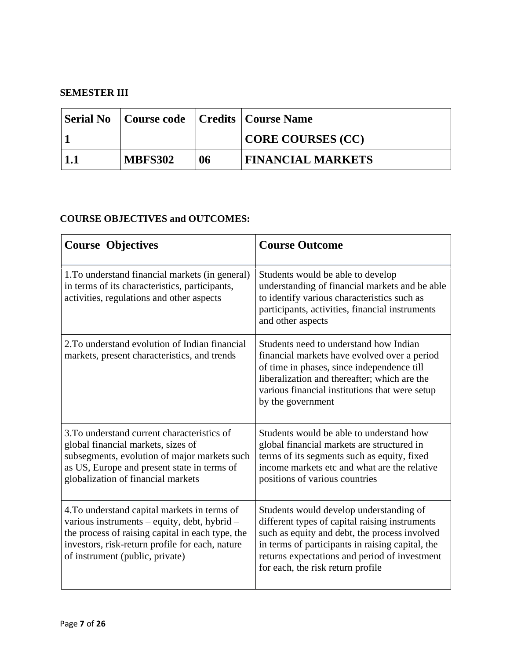# **SEMESTER III**

|             |                |    | Serial No Course code Credits Course Name |
|-------------|----------------|----|-------------------------------------------|
|             |                |    | CORE COURSES (CC)                         |
| $\vert$ 1.1 | <b>MBFS302</b> | 06 | <b>FINANCIAL MARKETS</b>                  |

| <b>Course Objectives</b>                                                                                                                                                                                                               | <b>Course Outcome</b>                                                                                                                                                                                                                                                                |
|----------------------------------------------------------------------------------------------------------------------------------------------------------------------------------------------------------------------------------------|--------------------------------------------------------------------------------------------------------------------------------------------------------------------------------------------------------------------------------------------------------------------------------------|
| 1. To understand financial markets (in general)<br>in terms of its characteristics, participants,<br>activities, regulations and other aspects                                                                                         | Students would be able to develop<br>understanding of financial markets and be able<br>to identify various characteristics such as<br>participants, activities, financial instruments<br>and other aspects                                                                           |
| 2. To understand evolution of Indian financial<br>markets, present characteristics, and trends                                                                                                                                         | Students need to understand how Indian<br>financial markets have evolved over a period<br>of time in phases, since independence till<br>liberalization and thereafter; which are the<br>various financial institutions that were setup<br>by the government                          |
| 3. To understand current characteristics of<br>global financial markets, sizes of<br>subsegments, evolution of major markets such<br>as US, Europe and present state in terms of<br>globalization of financial markets                 | Students would be able to understand how<br>global financial markets are structured in<br>terms of its segments such as equity, fixed<br>income markets etc and what are the relative<br>positions of various countries                                                              |
| 4. To understand capital markets in terms of<br>various instruments - equity, debt, hybrid -<br>the process of raising capital in each type, the<br>investors, risk-return profile for each, nature<br>of instrument (public, private) | Students would develop understanding of<br>different types of capital raising instruments<br>such as equity and debt, the process involved<br>in terms of participants in raising capital, the<br>returns expectations and period of investment<br>for each, the risk return profile |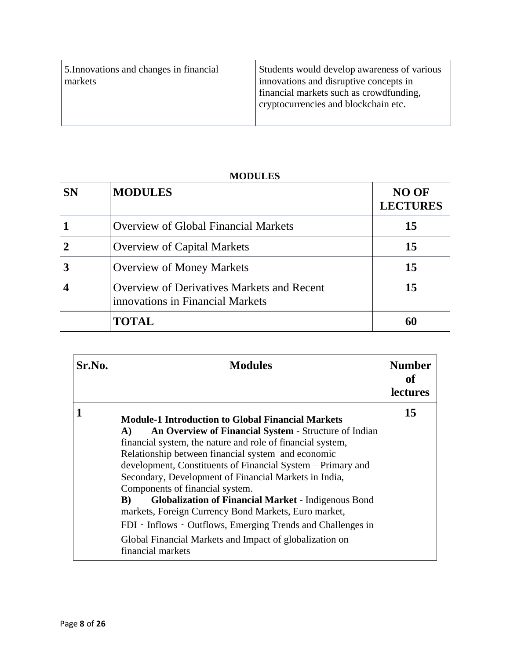5.Innovations and changes in financial markets

Students would develop awareness of various innovations and disruptive concepts in financial markets such as crowdfunding, cryptocurrencies and blockchain etc.

### **MODULES**

| <b>SN</b> | <b>MODULES</b>                                                                        | <b>NO OF</b><br><b>LECTURES</b> |
|-----------|---------------------------------------------------------------------------------------|---------------------------------|
|           | <b>Overview of Global Financial Markets</b>                                           | 15                              |
|           | <b>Overview of Capital Markets</b>                                                    | 15                              |
|           | <b>Overview of Money Markets</b>                                                      | 15                              |
|           | <b>Overview of Derivatives Markets and Recent</b><br>innovations in Financial Markets | 15                              |
|           | <b>TOTAL</b>                                                                          |                                 |

| Sr.No. | <b>Modules</b>                                                                                                                                                                                                                                                                                                                                                                                                                                                                                                                                                                                                                                                                    | <b>Number</b><br>of<br><b>lectures</b> |
|--------|-----------------------------------------------------------------------------------------------------------------------------------------------------------------------------------------------------------------------------------------------------------------------------------------------------------------------------------------------------------------------------------------------------------------------------------------------------------------------------------------------------------------------------------------------------------------------------------------------------------------------------------------------------------------------------------|----------------------------------------|
|        | <b>Module-1 Introduction to Global Financial Markets</b><br>An Overview of Financial System - Structure of Indian<br>A)<br>financial system, the nature and role of financial system,<br>Relationship between financial system and economic<br>development, Constituents of Financial System - Primary and<br>Secondary, Development of Financial Markets in India,<br>Components of financial system.<br><b>Globalization of Financial Market - Indigenous Bond</b><br>B)<br>markets, Foreign Currency Bond Markets, Euro market,<br>FDI - Inflows - Outflows, Emerging Trends and Challenges in<br>Global Financial Markets and Impact of globalization on<br>financial markets | 15                                     |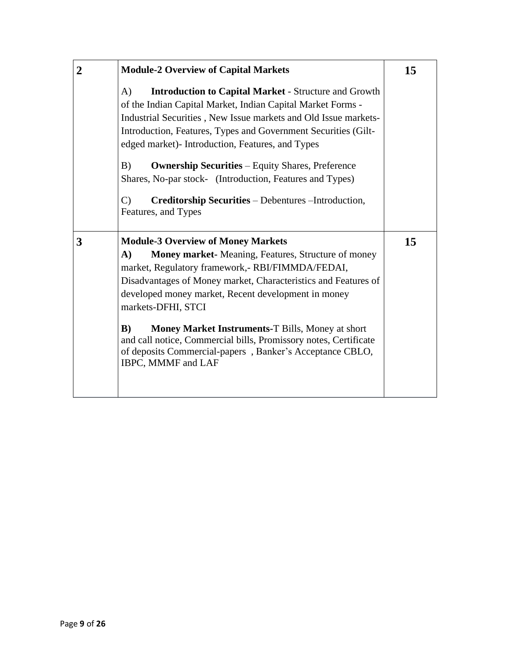| $\overline{2}$ | <b>Module-2 Overview of Capital Markets</b>                                                                                                                                                                                                                                                                                                                                                                                                                                                                                                                   | 15 |
|----------------|---------------------------------------------------------------------------------------------------------------------------------------------------------------------------------------------------------------------------------------------------------------------------------------------------------------------------------------------------------------------------------------------------------------------------------------------------------------------------------------------------------------------------------------------------------------|----|
|                | A)<br><b>Introduction to Capital Market - Structure and Growth</b><br>of the Indian Capital Market, Indian Capital Market Forms -<br>Industrial Securities, New Issue markets and Old Issue markets-<br>Introduction, Features, Types and Government Securities (Gilt-<br>edged market)- Introduction, Features, and Types<br>B)<br><b>Ownership Securities</b> – Equity Shares, Preference<br>Shares, No-par stock- (Introduction, Features and Types)<br>$\mathbf{C}$<br><b>Creditorship Securities</b> – Debentures – Introduction,<br>Features, and Types |    |
| 3              | <b>Module-3 Overview of Money Markets</b><br>$\mathbf{A}$<br>Money market- Meaning, Features, Structure of money<br>market, Regulatory framework,- RBI/FIMMDA/FEDAI,<br>Disadvantages of Money market, Characteristics and Features of<br>developed money market, Recent development in money<br>markets-DFHI, STCI<br>B)<br><b>Money Market Instruments-T Bills, Money at short</b><br>and call notice, Commercial bills, Promissory notes, Certificate<br>of deposits Commercial-papers, Banker's Acceptance CBLO,<br>IBPC, MMMF and LAF                    | 15 |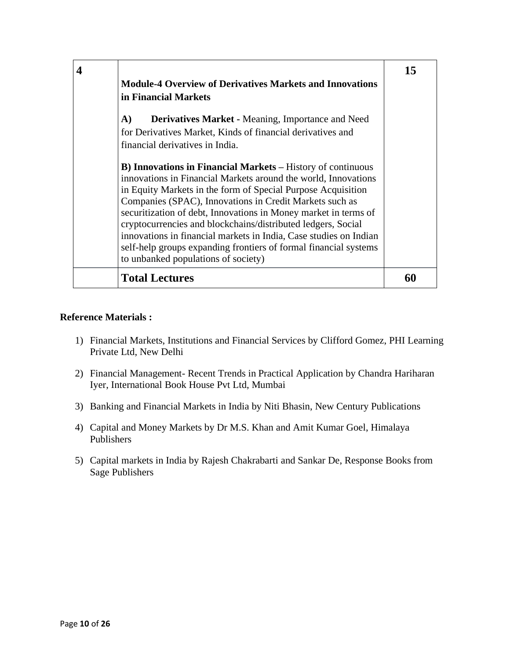|  | <b>Module-4 Overview of Derivatives Markets and Innovations</b><br>in Financial Markets<br>A)<br><b>Derivatives Market - Meaning, Importance and Need</b><br>for Derivatives Market, Kinds of financial derivatives and<br>financial derivatives in India.<br><b>B) Innovations in Financial Markets</b> – History of continuous<br>innovations in Financial Markets around the world, Innovations<br>in Equity Markets in the form of Special Purpose Acquisition<br>Companies (SPAC), Innovations in Credit Markets such as<br>securitization of debt, Innovations in Money market in terms of<br>cryptocurrencies and blockchains/distributed ledgers, Social<br>innovations in financial markets in India, Case studies on Indian<br>self-help groups expanding frontiers of formal financial systems | 15 |
|--|-----------------------------------------------------------------------------------------------------------------------------------------------------------------------------------------------------------------------------------------------------------------------------------------------------------------------------------------------------------------------------------------------------------------------------------------------------------------------------------------------------------------------------------------------------------------------------------------------------------------------------------------------------------------------------------------------------------------------------------------------------------------------------------------------------------|----|
|  | to unbanked populations of society)<br><b>Total Lectures</b>                                                                                                                                                                                                                                                                                                                                                                                                                                                                                                                                                                                                                                                                                                                                              |    |

#### **Reference Materials :**

- 1) Financial Markets, Institutions and Financial Services by Clifford Gomez, PHI Learning Private Ltd, New Delhi
- 2) Financial Management- Recent Trends in Practical Application by Chandra Hariharan Iyer, International Book House Pvt Ltd, Mumbai
- 3) Banking and Financial Markets in India by Niti Bhasin, New Century Publications
- 4) Capital and Money Markets by Dr M.S. Khan and Amit Kumar Goel, Himalaya Publishers
- 5) Capital markets in India by Rajesh Chakrabarti and Sankar De, Response Books from Sage Publishers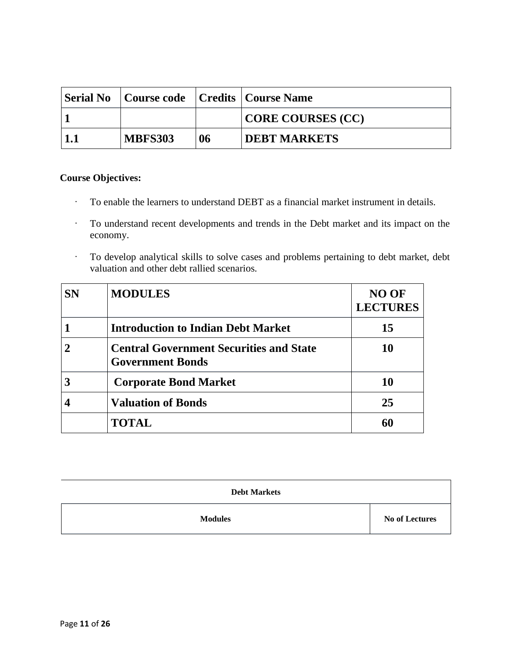| Serial No Course code Credits Course Name |    |                          |
|-------------------------------------------|----|--------------------------|
|                                           |    | <b>CORE COURSES (CC)</b> |
| <b>MBFS303</b>                            | 06 | <b>DEBT MARKETS</b>      |

### **Course Objectives:**

- · To enable the learners to understand DEBT as a financial market instrument in details.
- · To understand recent developments and trends in the Debt market and its impact on the economy.
- · To develop analytical skills to solve cases and problems pertaining to debt market, debt valuation and other debt rallied scenarios.

| <b>SN</b> | <b>MODULES</b>                                                            | <b>NO OF</b><br><b>LECTURES</b> |
|-----------|---------------------------------------------------------------------------|---------------------------------|
|           | <b>Introduction to Indian Debt Market</b>                                 | 15                              |
|           | <b>Central Government Securities and State</b><br><b>Government Bonds</b> | 10                              |
|           | <b>Corporate Bond Market</b>                                              | 10                              |
|           | <b>Valuation of Bonds</b>                                                 | 25                              |
|           | <b>TOTAL</b>                                                              |                                 |

| <b>Debt Markets</b> |                       |
|---------------------|-----------------------|
| <b>Modules</b>      | <b>No of Lectures</b> |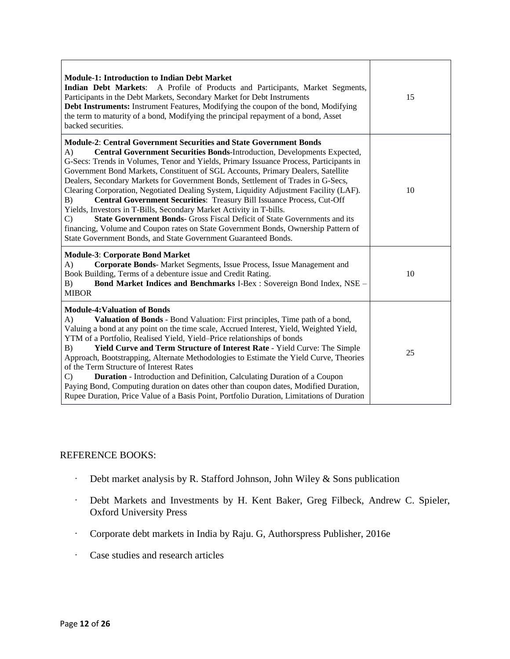| <b>Module-1: Introduction to Indian Debt Market</b><br>Indian Debt Markets: A Profile of Products and Participants, Market Segments,<br>Participants in the Debt Markets, Secondary Market for Debt Instruments<br>Debt Instruments: Instrument Features, Modifying the coupon of the bond, Modifying<br>the term to maturity of a bond, Modifying the principal repayment of a bond, Asset<br>backed securities.                                                                                                                                                                                                                                                                                                                                                                                                                                                                                                                                | 15 |
|--------------------------------------------------------------------------------------------------------------------------------------------------------------------------------------------------------------------------------------------------------------------------------------------------------------------------------------------------------------------------------------------------------------------------------------------------------------------------------------------------------------------------------------------------------------------------------------------------------------------------------------------------------------------------------------------------------------------------------------------------------------------------------------------------------------------------------------------------------------------------------------------------------------------------------------------------|----|
| <b>Module-2: Central Government Securities and State Government Bonds</b><br>Central Government Securities Bonds-Introduction, Developments Expected,<br>$\bf{A}$<br>G-Secs: Trends in Volumes, Tenor and Yields, Primary Issuance Process, Participants in<br>Government Bond Markets, Constituent of SGL Accounts, Primary Dealers, Satellite<br>Dealers, Secondary Markets for Government Bonds, Settlement of Trades in G-Secs,<br>Clearing Corporation, Negotiated Dealing System, Liquidity Adjustment Facility (LAF).<br>Central Government Securities: Treasury Bill Issuance Process, Cut-Off<br>B)<br>Yields, Investors in T-Bills, Secondary Market Activity in T-bills.<br><b>State Government Bonds-</b> Gross Fiscal Deficit of State Governments and its<br>$\mathcal{C}$<br>financing, Volume and Coupon rates on State Government Bonds, Ownership Pattern of<br>State Government Bonds, and State Government Guaranteed Bonds. | 10 |
| <b>Module-3: Corporate Bond Market</b><br>Corporate Bonds- Market Segments, Issue Process, Issue Management and<br>A)<br>Book Building, Terms of a debenture issue and Credit Rating.<br>Bond Market Indices and Benchmarks I-Bex : Sovereign Bond Index, NSE -<br>B)<br><b>MIBOR</b>                                                                                                                                                                                                                                                                                                                                                                                                                                                                                                                                                                                                                                                            | 10 |
| <b>Module-4: Valuation of Bonds</b><br>Valuation of Bonds - Bond Valuation: First principles, Time path of a bond,<br>A)<br>Valuing a bond at any point on the time scale, Accrued Interest, Yield, Weighted Yield,<br>YTM of a Portfolio, Realised Yield, Yield–Price relationships of bonds<br>Yield Curve and Term Structure of Interest Rate - Yield Curve: The Simple<br>B)<br>Approach, Bootstrapping, Alternate Methodologies to Estimate the Yield Curve, Theories<br>of the Term Structure of Interest Rates<br><b>Duration</b> - Introduction and Definition, Calculating Duration of a Coupon<br>C)<br>Paying Bond, Computing duration on dates other than coupon dates, Modified Duration,<br>Rupee Duration, Price Value of a Basis Point, Portfolio Duration, Limitations of Duration                                                                                                                                              | 25 |

### REFERENCE BOOKS:

- · Debt market analysis by R. Stafford Johnson, John Wiley & Sons publication
- · Debt Markets and Investments by H. Kent Baker, Greg Filbeck, Andrew C. Spieler, Oxford University Press
- · Corporate debt markets in India by Raju. G, Authorspress Publisher, 2016e
- · Case studies and research articles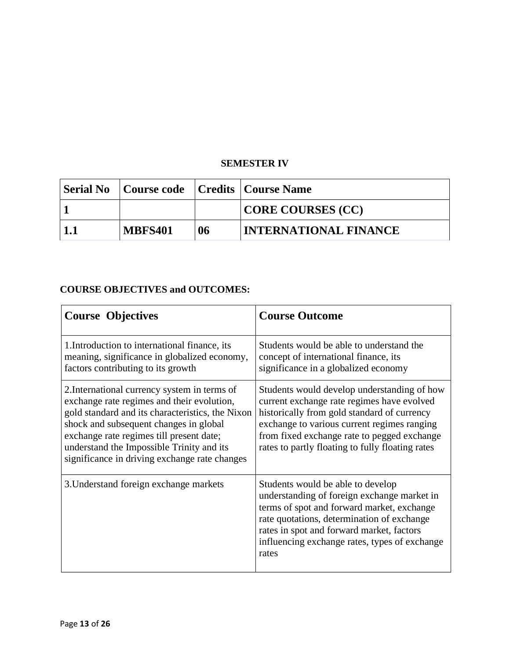# **SEMESTER IV**

| Serial No Course code Credits Course Name |    |                              |
|-------------------------------------------|----|------------------------------|
|                                           |    | CORE COURSES (CC)            |
| <b>MBFS401</b>                            | 06 | <b>INTERNATIONAL FINANCE</b> |

| <b>Course Objectives</b>                                                                                                                                                                                                                                                                                                           | <b>Course Outcome</b>                                                                                                                                                                                                                                                                      |
|------------------------------------------------------------------------------------------------------------------------------------------------------------------------------------------------------------------------------------------------------------------------------------------------------------------------------------|--------------------------------------------------------------------------------------------------------------------------------------------------------------------------------------------------------------------------------------------------------------------------------------------|
| 1. Introduction to international finance, its<br>meaning, significance in globalized economy,<br>factors contributing to its growth                                                                                                                                                                                                | Students would be able to understand the<br>concept of international finance, its<br>significance in a globalized economy                                                                                                                                                                  |
| 2. International currency system in terms of<br>exchange rate regimes and their evolution,<br>gold standard and its characteristics, the Nixon<br>shock and subsequent changes in global<br>exchange rate regimes till present date;<br>understand the Impossible Trinity and its<br>significance in driving exchange rate changes | Students would develop understanding of how<br>current exchange rate regimes have evolved<br>historically from gold standard of currency<br>exchange to various current regimes ranging<br>from fixed exchange rate to pegged exchange<br>rates to partly floating to fully floating rates |
| 3. Understand foreign exchange markets                                                                                                                                                                                                                                                                                             | Students would be able to develop<br>understanding of foreign exchange market in<br>terms of spot and forward market, exchange<br>rate quotations, determination of exchange<br>rates in spot and forward market, factors<br>influencing exchange rates, types of exchange<br>rates        |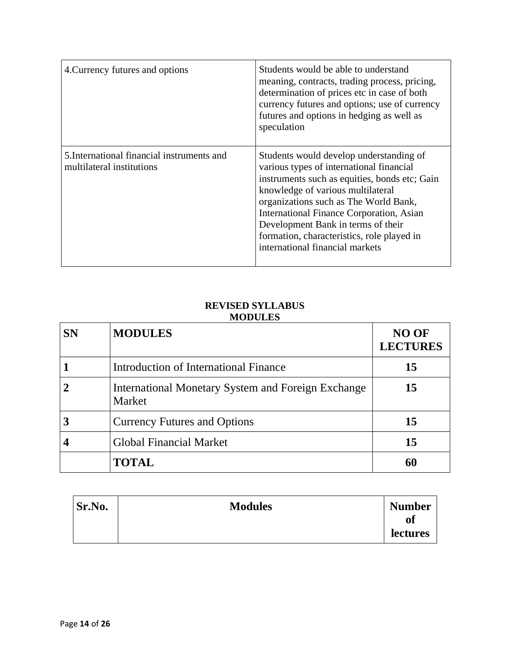| 4. Currency futures and options                                         | Students would be able to understand<br>meaning, contracts, trading process, pricing,<br>determination of prices etc in case of both<br>currency futures and options; use of currency<br>futures and options in hedging as well as<br>speculation                                                                                                                                     |
|-------------------------------------------------------------------------|---------------------------------------------------------------------------------------------------------------------------------------------------------------------------------------------------------------------------------------------------------------------------------------------------------------------------------------------------------------------------------------|
| 5. International financial instruments and<br>multilateral institutions | Students would develop understanding of<br>various types of international financial<br>instruments such as equities, bonds etc; Gain<br>knowledge of various multilateral<br>organizations such as The World Bank,<br>International Finance Corporation, Asian<br>Development Bank in terms of their<br>formation, characteristics, role played in<br>international financial markets |

### **REVISED SYLLABUS MODULES**

| <b>SN</b> | <b>MODULES</b>                                                      | <b>NO OF</b><br><b>LECTURES</b> |
|-----------|---------------------------------------------------------------------|---------------------------------|
|           | Introduction of International Finance                               | 15                              |
|           | <b>International Monetary System and Foreign Exchange</b><br>Market | 15                              |
|           | <b>Currency Futures and Options</b>                                 | 15                              |
|           | <b>Global Financial Market</b>                                      | 15                              |
|           | <b>TOTAL</b>                                                        |                                 |

| Sr.No. | <b>Modules</b> | <b>Number</b>   |
|--------|----------------|-----------------|
|        |                | 0Ī              |
|        |                | <b>lectures</b> |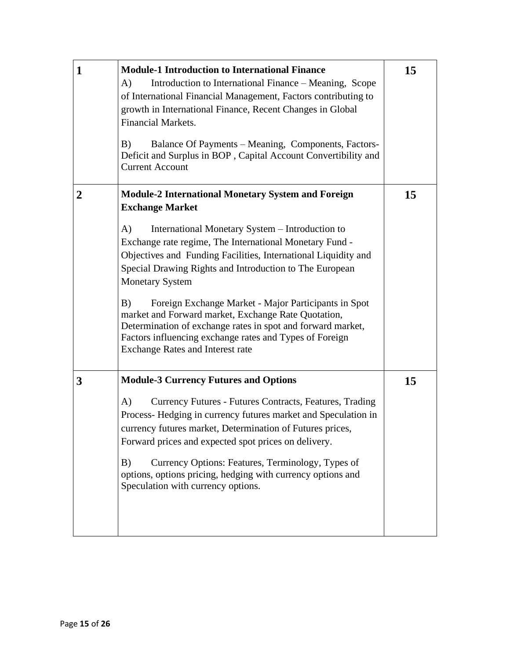| $\mathbf{1}$     | <b>Module-1 Introduction to International Finance</b><br>Introduction to International Finance – Meaning, Scope<br>A)<br>of International Financial Management, Factors contributing to<br>growth in International Finance, Recent Changes in Global<br><b>Financial Markets.</b><br>B)<br>Balance Of Payments – Meaning, Components, Factors-<br>Deficit and Surplus in BOP, Capital Account Convertibility and<br><b>Current Account</b>                                                                                                                                                                                                               | 15 |
|------------------|----------------------------------------------------------------------------------------------------------------------------------------------------------------------------------------------------------------------------------------------------------------------------------------------------------------------------------------------------------------------------------------------------------------------------------------------------------------------------------------------------------------------------------------------------------------------------------------------------------------------------------------------------------|----|
| $\boldsymbol{2}$ | <b>Module-2 International Monetary System and Foreign</b><br><b>Exchange Market</b><br>International Monetary System - Introduction to<br>A)<br>Exchange rate regime, The International Monetary Fund -<br>Objectives and Funding Facilities, International Liquidity and<br>Special Drawing Rights and Introduction to The European<br><b>Monetary System</b><br>B)<br>Foreign Exchange Market - Major Participants in Spot<br>market and Forward market, Exchange Rate Quotation,<br>Determination of exchange rates in spot and forward market,<br>Factors influencing exchange rates and Types of Foreign<br><b>Exchange Rates and Interest rate</b> | 15 |
| 3                | <b>Module-3 Currency Futures and Options</b><br>Currency Futures - Futures Contracts, Features, Trading<br>A)<br>Process- Hedging in currency futures market and Speculation in<br>currency futures market, Determination of Futures prices,<br>Forward prices and expected spot prices on delivery.<br>Currency Options: Features, Terminology, Types of<br>B)<br>options, options pricing, hedging with currency options and<br>Speculation with currency options.                                                                                                                                                                                     | 15 |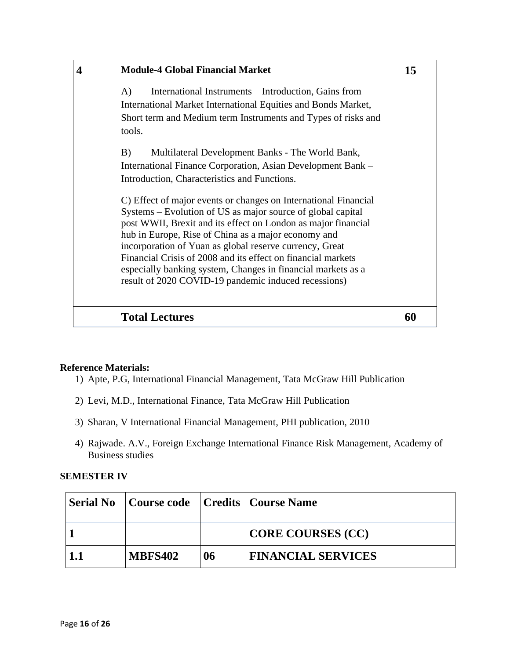| <b>Module-4 Global Financial Market</b>                                                                                                                                                                                                                                                                                                                                                                                                                                                                                                                                                                                                                                                                                                                                                                                                                                                      | 15 |
|----------------------------------------------------------------------------------------------------------------------------------------------------------------------------------------------------------------------------------------------------------------------------------------------------------------------------------------------------------------------------------------------------------------------------------------------------------------------------------------------------------------------------------------------------------------------------------------------------------------------------------------------------------------------------------------------------------------------------------------------------------------------------------------------------------------------------------------------------------------------------------------------|----|
| International Instruments – Introduction, Gains from<br>A)<br>International Market International Equities and Bonds Market,<br>Short term and Medium term Instruments and Types of risks and<br>tools.<br>B)<br>Multilateral Development Banks - The World Bank,<br>International Finance Corporation, Asian Development Bank –<br>Introduction, Characteristics and Functions.<br>C) Effect of major events or changes on International Financial<br>Systems - Evolution of US as major source of global capital<br>post WWII, Brexit and its effect on London as major financial<br>hub in Europe, Rise of China as a major economy and<br>incorporation of Yuan as global reserve currency, Great<br>Financial Crisis of 2008 and its effect on financial markets<br>especially banking system, Changes in financial markets as a<br>result of 2020 COVID-19 pandemic induced recessions) |    |
| <b>Total Lectures</b>                                                                                                                                                                                                                                                                                                                                                                                                                                                                                                                                                                                                                                                                                                                                                                                                                                                                        | 60 |

#### **Reference Materials:**

- 1) Apte, P.G, International Financial Management, Tata McGraw Hill Publication
- 2) Levi, M.D., International Finance, Tata McGraw Hill Publication
- 3) Sharan, V International Financial Management, PHI publication, 2010
- 4) Rajwade. A.V., Foreign Exchange International Finance Risk Management, Academy of Business studies

#### **SEMESTER IV**

| <b>Serial No</b> |                |    | Course code   Credits   Course Name |
|------------------|----------------|----|-------------------------------------|
|                  |                |    | <b>CORE COURSES (CC)</b>            |
| 1.1              | <b>MBFS402</b> | 06 | <b>FINANCIAL SERVICES</b>           |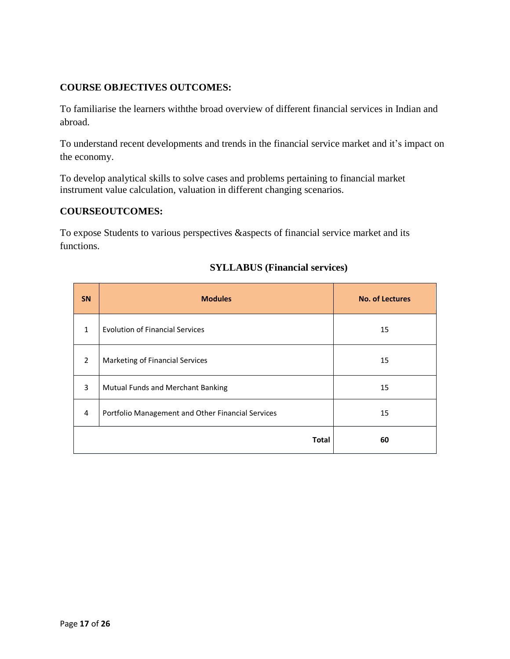### **COURSE OBJECTIVES OUTCOMES:**

To familiarise the learners withthe broad overview of different financial services in Indian and abroad.

To understand recent developments and trends in the financial service market and it's impact on the economy.

To develop analytical skills to solve cases and problems pertaining to financial market instrument value calculation, valuation in different changing scenarios.

#### **COURSEOUTCOMES:**

To expose Students to various perspectives &aspects of financial service market and its functions.

| <b>SN</b>     | <b>Modules</b>                                    | <b>No. of Lectures</b> |
|---------------|---------------------------------------------------|------------------------|
| $\mathbf{1}$  | <b>Evolution of Financial Services</b>            | 15                     |
| $\mathcal{P}$ | Marketing of Financial Services                   | 15                     |
| 3             | Mutual Funds and Merchant Banking                 | 15                     |
| 4             | Portfolio Management and Other Financial Services | 15                     |
|               | <b>Total</b>                                      | 60                     |

#### **SYLLABUS (Financial services)**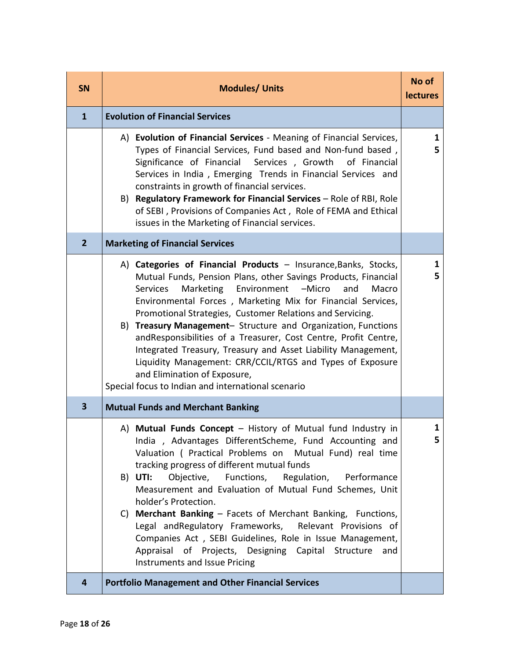| <b>SN</b>      | <b>Modules/ Units</b>                                                                                                                                                                                                                                                                                                                                                                                                                                                                                                                                                                                                                                                                      | No of<br><b>lectures</b> |
|----------------|--------------------------------------------------------------------------------------------------------------------------------------------------------------------------------------------------------------------------------------------------------------------------------------------------------------------------------------------------------------------------------------------------------------------------------------------------------------------------------------------------------------------------------------------------------------------------------------------------------------------------------------------------------------------------------------------|--------------------------|
| $\mathbf{1}$   | <b>Evolution of Financial Services</b>                                                                                                                                                                                                                                                                                                                                                                                                                                                                                                                                                                                                                                                     |                          |
|                | A) Evolution of Financial Services - Meaning of Financial Services,<br>Types of Financial Services, Fund based and Non-fund based,<br>Significance of Financial Services, Growth<br>of Financial<br>Services in India, Emerging Trends in Financial Services and<br>constraints in growth of financial services.<br>B) Regulatory Framework for Financial Services - Role of RBI, Role<br>of SEBI, Provisions of Companies Act, Role of FEMA and Ethical<br>issues in the Marketing of Financial services.                                                                                                                                                                                 | 1<br>5                   |
| $\overline{2}$ | <b>Marketing of Financial Services</b>                                                                                                                                                                                                                                                                                                                                                                                                                                                                                                                                                                                                                                                     |                          |
|                | A) Categories of Financial Products - Insurance, Banks, Stocks,<br>Mutual Funds, Pension Plans, other Savings Products, Financial<br>Marketing<br>Environment<br>Services<br>-Micro<br>Macro<br>and<br>Environmental Forces, Marketing Mix for Financial Services,<br>Promotional Strategies, Customer Relations and Servicing.<br>Treasury Management- Structure and Organization, Functions<br>B)<br>andResponsibilities of a Treasurer, Cost Centre, Profit Centre,<br>Integrated Treasury, Treasury and Asset Liability Management,<br>Liquidity Management: CRR/CCIL/RTGS and Types of Exposure<br>and Elimination of Exposure,<br>Special focus to Indian and international scenario | 1<br>5                   |
| 3              | <b>Mutual Funds and Merchant Banking</b>                                                                                                                                                                                                                                                                                                                                                                                                                                                                                                                                                                                                                                                   |                          |
|                | A) Mutual Funds Concept - History of Mutual fund Industry in<br>India, Advantages DifferentScheme, Fund Accounting and<br>Valuation ( Practical Problems on Mutual Fund) real time<br>tracking progress of different mutual funds<br>B) UTI: Objective, Functions, Regulation, Performance<br>Measurement and Evaluation of Mutual Fund Schemes, Unit<br>holder's Protection.<br>C) Merchant Banking - Facets of Merchant Banking, Functions,<br>Legal and Regulatory Frameworks, Relevant Provisions of<br>Companies Act, SEBI Guidelines, Role in Issue Management,<br>Appraisal of Projects, Designing Capital Structure<br>and<br>Instruments and Issue Pricing                        | 1<br>5                   |
| 4              | <b>Portfolio Management and Other Financial Services</b>                                                                                                                                                                                                                                                                                                                                                                                                                                                                                                                                                                                                                                   |                          |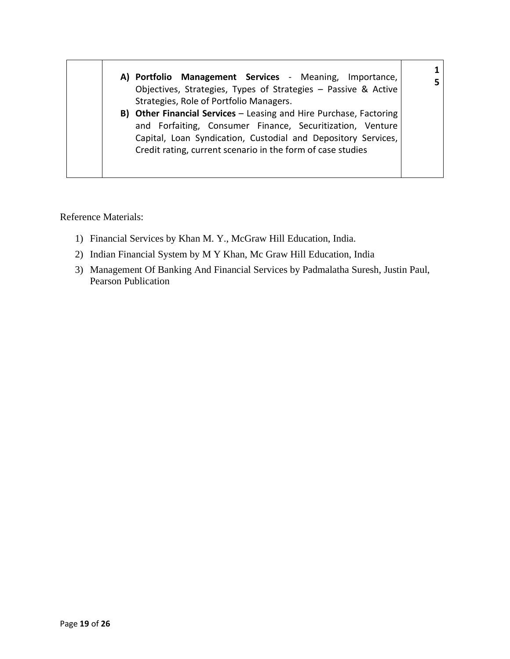| A) Portfolio Management Services - Meaning, Importance,<br>Objectives, Strategies, Types of Strategies - Passive & Active<br>Strategies, Role of Portfolio Managers.                                                                                            |  |
|-----------------------------------------------------------------------------------------------------------------------------------------------------------------------------------------------------------------------------------------------------------------|--|
| B) Other Financial Services - Leasing and Hire Purchase, Factoring<br>and Forfaiting, Consumer Finance, Securitization, Venture<br>Capital, Loan Syndication, Custodial and Depository Services,<br>Credit rating, current scenario in the form of case studies |  |

Reference Materials:

- 1) Financial Services by Khan M. Y., McGraw Hill Education, India.
- 2) Indian Financial System by M Y Khan, Mc Graw Hill Education, India
- 3) Management Of Banking And Financial Services by Padmalatha Suresh, Justin Paul, Pearson Publication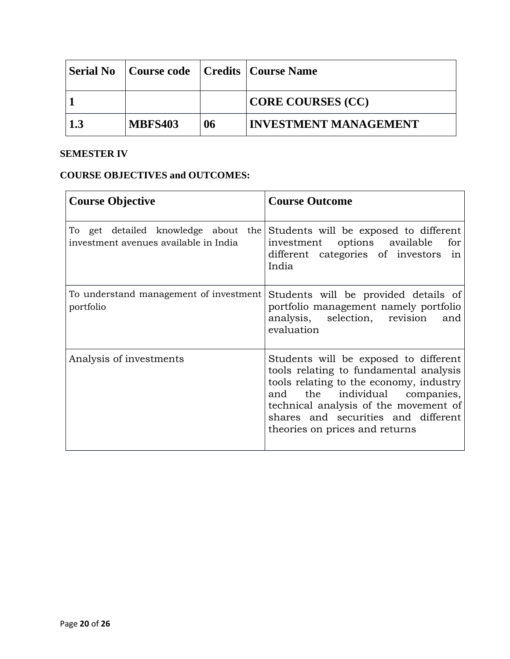| Serial No      | Course code   Credits   Course Name |    |                              |
|----------------|-------------------------------------|----|------------------------------|
|                |                                     |    | CORE COURSES (CC)            |
| $\blacksquare$ | <b>MBFS403</b>                      | 06 | <b>INVESTMENT MANAGEMENT</b> |

# **SEMESTER IV**

| <b>Course Objective</b>                                                      | <b>Course Outcome</b>                                                                                                                                                                                                                                                            |
|------------------------------------------------------------------------------|----------------------------------------------------------------------------------------------------------------------------------------------------------------------------------------------------------------------------------------------------------------------------------|
| To get detailed knowledge about the<br>investment avenues available in India | Students will be exposed to different<br>investment options available<br>for<br>different categories of investors in<br>India                                                                                                                                                    |
| To understand management of investment<br>portfolio                          | Students will be provided details of<br>portfolio management namely portfolio<br>analysis, selection, revision<br>and<br>evaluation                                                                                                                                              |
| Analysis of investments                                                      | Students will be exposed to different<br>tools relating to fundamental analysis<br>tools relating to the economy, industry<br>the individual companies,<br>and<br>technical analysis of the movement of<br>shares and securities and different<br>theories on prices and returns |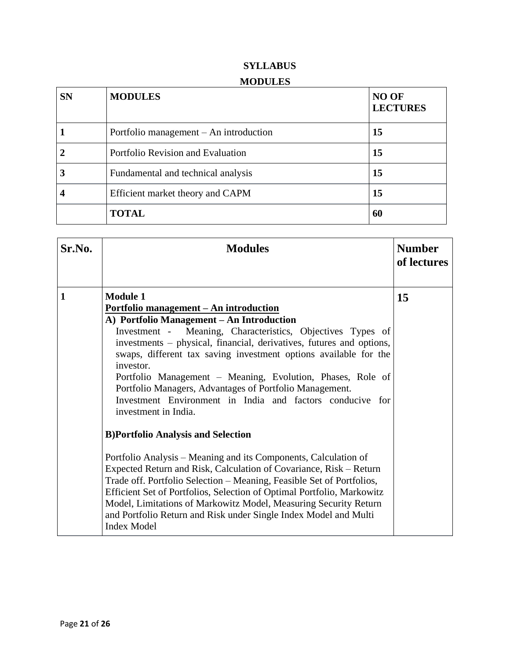| <b>SN</b> | <b>MODULES</b>                         | NO OF<br><b>LECTURES</b> |
|-----------|----------------------------------------|--------------------------|
|           | Portfolio management – An introduction | 15                       |
|           | Portfolio Revision and Evaluation      | 15                       |
| 3         | Fundamental and technical analysis     | 15                       |
|           | Efficient market theory and CAPM       | 15                       |
|           | <b>TOTAL</b>                           | 60                       |

| Sr.No.       | <b>Modules</b>                                                                                                                                                                                                                                                                                                                                                                                                                                                                                                                                                                                                                                                                                                                                                                                                                                                                                                                                                                                                                                                | <b>Number</b><br>of lectures |
|--------------|---------------------------------------------------------------------------------------------------------------------------------------------------------------------------------------------------------------------------------------------------------------------------------------------------------------------------------------------------------------------------------------------------------------------------------------------------------------------------------------------------------------------------------------------------------------------------------------------------------------------------------------------------------------------------------------------------------------------------------------------------------------------------------------------------------------------------------------------------------------------------------------------------------------------------------------------------------------------------------------------------------------------------------------------------------------|------------------------------|
| $\mathbf{1}$ | <b>Module 1</b><br><u> Portfolio management – An introduction</u><br>A) Portfolio Management – An Introduction<br>Meaning, Characteristics, Objectives Types of<br>Investment -<br>investments - physical, financial, derivatives, futures and options,<br>swaps, different tax saving investment options available for the<br>investor.<br>Portfolio Management – Meaning, Evolution, Phases, Role of<br>Portfolio Managers, Advantages of Portfolio Management.<br>Investment Environment in India and factors conducive for<br>investment in India.<br><b>B)Portfolio Analysis and Selection</b><br>Portfolio Analysis - Meaning and its Components, Calculation of<br>Expected Return and Risk, Calculation of Covariance, Risk – Return<br>Trade off. Portfolio Selection – Meaning, Feasible Set of Portfolios,<br>Efficient Set of Portfolios, Selection of Optimal Portfolio, Markowitz<br>Model, Limitations of Markowitz Model, Measuring Security Return<br>and Portfolio Return and Risk under Single Index Model and Multi<br><b>Index Model</b> | 15                           |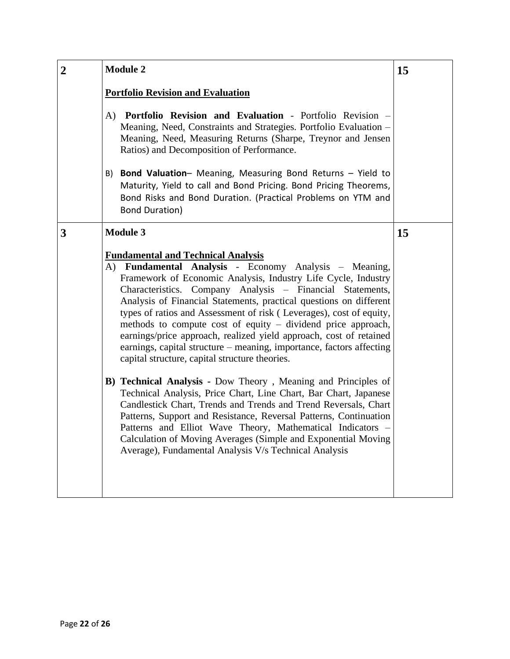| $\overline{2}$ | <b>Module 2</b><br>15                                                                                                                                                                                                                                                                                                                                                                                                                                                                                                                                                                                                                                                                                                                                                                                                                                                                                                                                                                                                                                                                                                       |    |  |  |  |
|----------------|-----------------------------------------------------------------------------------------------------------------------------------------------------------------------------------------------------------------------------------------------------------------------------------------------------------------------------------------------------------------------------------------------------------------------------------------------------------------------------------------------------------------------------------------------------------------------------------------------------------------------------------------------------------------------------------------------------------------------------------------------------------------------------------------------------------------------------------------------------------------------------------------------------------------------------------------------------------------------------------------------------------------------------------------------------------------------------------------------------------------------------|----|--|--|--|
|                | <b>Portfolio Revision and Evaluation</b>                                                                                                                                                                                                                                                                                                                                                                                                                                                                                                                                                                                                                                                                                                                                                                                                                                                                                                                                                                                                                                                                                    |    |  |  |  |
|                | A) Portfolio Revision and Evaluation - Portfolio Revision -<br>Meaning, Need, Constraints and Strategies. Portfolio Evaluation -<br>Meaning, Need, Measuring Returns (Sharpe, Treynor and Jensen<br>Ratios) and Decomposition of Performance.                                                                                                                                                                                                                                                                                                                                                                                                                                                                                                                                                                                                                                                                                                                                                                                                                                                                               |    |  |  |  |
|                | Bond Valuation- Meaning, Measuring Bond Returns - Yield to<br>B)<br>Maturity, Yield to call and Bond Pricing. Bond Pricing Theorems,<br>Bond Risks and Bond Duration. (Practical Problems on YTM and<br><b>Bond Duration)</b>                                                                                                                                                                                                                                                                                                                                                                                                                                                                                                                                                                                                                                                                                                                                                                                                                                                                                               |    |  |  |  |
| 3              | <b>Module 3</b>                                                                                                                                                                                                                                                                                                                                                                                                                                                                                                                                                                                                                                                                                                                                                                                                                                                                                                                                                                                                                                                                                                             | 15 |  |  |  |
|                | <b>Fundamental and Technical Analysis</b><br>A) Fundamental Analysis - Economy Analysis - Meaning,<br>Framework of Economic Analysis, Industry Life Cycle, Industry<br>Characteristics. Company Analysis - Financial Statements,<br>Analysis of Financial Statements, practical questions on different<br>types of ratios and Assessment of risk (Leverages), cost of equity,<br>methods to compute cost of equity $-$ dividend price approach,<br>earnings/price approach, realized yield approach, cost of retained<br>earnings, capital structure – meaning, importance, factors affecting<br>capital structure, capital structure theories.<br><b>B) Technical Analysis - Dow Theory, Meaning and Principles of</b><br>Technical Analysis, Price Chart, Line Chart, Bar Chart, Japanese<br>Candlestick Chart, Trends and Trends and Trend Reversals, Chart<br>Patterns, Support and Resistance, Reversal Patterns, Continuation<br>Patterns and Elliot Wave Theory, Mathematical Indicators -<br>Calculation of Moving Averages (Simple and Exponential Moving<br>Average), Fundamental Analysis V/s Technical Analysis |    |  |  |  |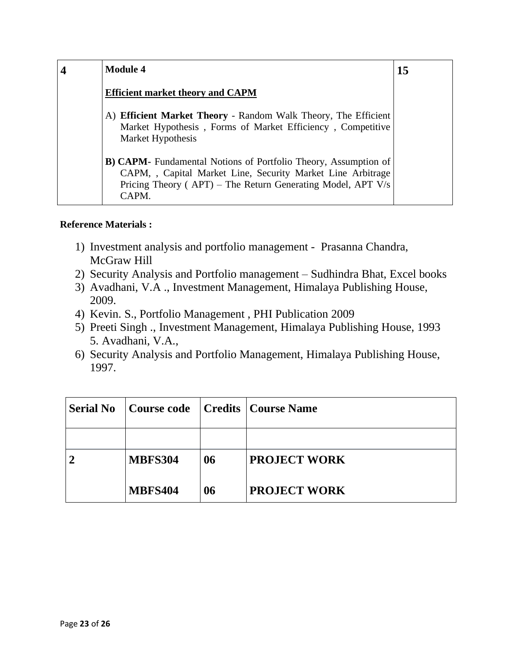| <b>Module 4</b>                                                                                                                                                                                                   | 15 |
|-------------------------------------------------------------------------------------------------------------------------------------------------------------------------------------------------------------------|----|
| <b>Efficient market theory and CAPM</b>                                                                                                                                                                           |    |
| A) Efficient Market Theory - Random Walk Theory, The Efficient<br>Market Hypothesis, Forms of Market Efficiency, Competitive<br>Market Hypothesis                                                                 |    |
| <b>B) CAPM-</b> Fundamental Notions of Portfolio Theory, Assumption of<br>CAPM, , Capital Market Line, Security Market Line Arbitrage<br>Pricing Theory ( $APT$ ) – The Return Generating Model, APT V/s<br>CAPM. |    |

### **Reference Materials :**

- 1) Investment analysis and portfolio management Prasanna Chandra, McGraw Hill
- 2) Security Analysis and Portfolio management Sudhindra Bhat, Excel books
- 3) Avadhani, V.A ., Investment Management, Himalaya Publishing House, 2009.
- 4) Kevin. S., Portfolio Management , PHI Publication 2009
- 5) Preeti Singh ., Investment Management, Himalaya Publishing House, 1993 5. Avadhani, V.A.,
- 6) Security Analysis and Portfolio Management, Himalaya Publishing House, 1997.

| <b>Serial No</b> | Course code    |    | Credits   Course Name |
|------------------|----------------|----|-----------------------|
|                  |                |    |                       |
|                  | <b>MBFS304</b> | 06 | <b>PROJECT WORK</b>   |
|                  | <b>MBFS404</b> | 06 | <b>PROJECT WORK</b>   |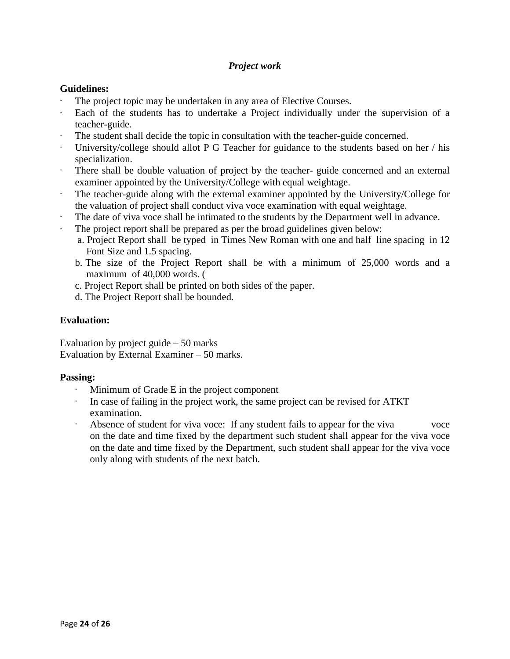### *Project work*

#### **Guidelines:**

- The project topic may be undertaken in any area of Elective Courses.
- Each of the students has to undertake a Project individually under the supervision of a teacher-guide.
- The student shall decide the topic in consultation with the teacher-guide concerned.
- University/college should allot P G Teacher for guidance to the students based on her / his specialization.
- There shall be double valuation of project by the teacher- guide concerned and an external examiner appointed by the University/College with equal weightage.
- The teacher-guide along with the external examiner appointed by the University/College for the valuation of project shall conduct viva voce examination with equal weightage.
- The date of viva voce shall be intimated to the students by the Department well in advance.
- The project report shall be prepared as per the broad guidelines given below:
	- a. Project Report shall be typed in Times New Roman with one and half line spacing in 12 Font Size and 1.5 spacing.
	- b. The size of the Project Report shall be with a minimum of 25,000 words and a maximum of 40,000 words. (
	- c. Project Report shall be printed on both sides of the paper.
	- d. The Project Report shall be bounded.

#### **Evaluation:**

Evaluation by project guide – 50 marks Evaluation by External Examiner – 50 marks.

#### **Passing:**

- Minimum of Grade E in the project component
- In case of failing in the project work, the same project can be revised for ATKT examination.
- · Absence of student for viva voce: If any student fails to appear for the viva voce on the date and time fixed by the department such student shall appear for the viva voce on the date and time fixed by the Department, such student shall appear for the viva voce only along with students of the next batch.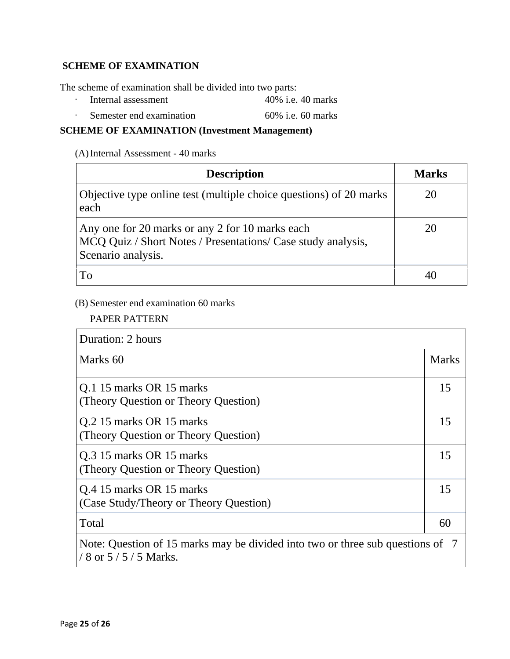### **SCHEME OF EXAMINATION**

The scheme of examination shall be divided into two parts:

- · Internal assessment 40% i.e. 40 marks
- · Semester end examination 60% i.e. 60 marks

# **SCHEME OF EXAMINATION (Investment Management)**

(A)Internal Assessment - 40 marks

| <b>Description</b>                                                                                                                    | <b>Marks</b> |
|---------------------------------------------------------------------------------------------------------------------------------------|--------------|
| Objective type online test (multiple choice questions) of 20 marks<br>each                                                            | 20           |
| Any one for 20 marks or any 2 for 10 marks each<br>MCQ Quiz / Short Notes / Presentations/ Case study analysis,<br>Scenario analysis. | 20           |
| To                                                                                                                                    |              |

# (B) Semester end examination 60 marks

PAPER PATTERN

| Duration: 2 hours                                                                                       |              |  |
|---------------------------------------------------------------------------------------------------------|--------------|--|
| Marks 60                                                                                                | <b>Marks</b> |  |
| Q.1 15 marks OR 15 marks<br>(Theory Question or Theory Question)                                        | 15           |  |
| Q.2 15 marks OR 15 marks<br>(Theory Question or Theory Question)                                        | 15           |  |
| Q.3 15 marks OR 15 marks<br>(Theory Question or Theory Question)                                        | 15           |  |
| Q.4 15 marks OR 15 marks<br>(Case Study/Theory or Theory Question)                                      | 15           |  |
| Total                                                                                                   | 60           |  |
| Note: Question of 15 marks may be divided into two or three sub questions of 7<br>/ 8 or $5/5/5$ Marks. |              |  |